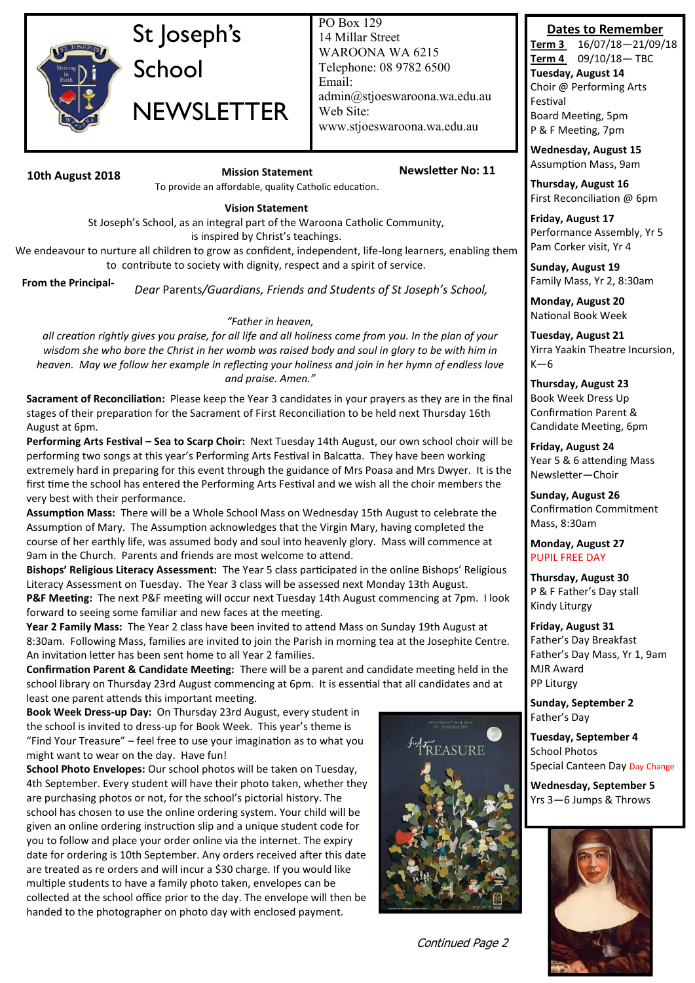

# St Joseph's School **NEWSLETTER**

PO Box 129 14 Millar Street WAROONA WA 6215 Telephone: 08 9782 6500 Email: admin@stjoeswaroona.wa.edu.au Web Site: www.stjoeswaroona.wa.edu.au

### **10th August 2018 Mission Statement Newsletter No: 11**

To provide an affordable, quality Catholic education.

### **Vision Statement**

St Joseph's School, as an integral part of the Waroona Catholic Community, is inspired by Christ's teachings.

We endeavour to nurture all children to grow as confident, independent, life-long learners, enabling them to contribute to society with dignity, respect and a spirit of service.

**From the Principal-**

*Dear* Parents*/Guardians, Friends and Students of St Joseph's School,* 

### *"Father in heaven,*

*all creation rightly gives you praise, for all life and all holiness come from you. In the plan of your wisdom she who bore the Christ in her womb was raised body and soul in glory to be with him in heaven. May we follow her example in reflecting your holiness and join in her hymn of endless love and praise. Amen."*

**Sacrament of Reconciliation:** Please keep the Year 3 candidates in your prayers as they are in the final stages of their preparation for the Sacrament of First Reconciliation to be held next Thursday 16th August at 6pm.

**Performing Arts Festival – Sea to Scarp Choir:** Next Tuesday 14th August, our own school choir will be performing two songs at this year's Performing Arts Festival in Balcatta. They have been working extremely hard in preparing for this event through the guidance of Mrs Poasa and Mrs Dwyer. It is the first time the school has entered the Performing Arts Festival and we wish all the choir members the very best with their performance.

**Assumption Mass:** There will be a Whole School Mass on Wednesday 15th August to celebrate the Assumption of Mary. The Assumption acknowledges that the Virgin Mary, having completed the course of her earthly life, was assumed body and soul into heavenly glory. Mass will commence at 9am in the Church. Parents and friends are most welcome to attend.

**Bishops' Religious Literacy Assessment:** The Year 5 class participated in the online Bishops' Religious Literacy Assessment on Tuesday. The Year 3 class will be assessed next Monday 13th August.

**P&F Meeting:** The next P&F meeting will occur next Tuesday 14th August commencing at 7pm. I look forward to seeing some familiar and new faces at the meeting.

**Year 2 Family Mass:** The Year 2 class have been invited to attend Mass on Sunday 19th August at 8:30am. Following Mass, families are invited to join the Parish in morning tea at the Josephite Centre. An invitation letter has been sent home to all Year 2 families.

**Confirmation Parent & Candidate Meeting:** There will be a parent and candidate meeting held in the school library on Thursday 23rd August commencing at 6pm. It is essential that all candidates and at least one parent attends this important meeting.

**Book Week Dress-up Day:** On Thursday 23rd August, every student in the school is invited to dress-up for Book Week. This year's theme is "Find Your Treasure" – feel free to use your imagination as to what you might want to wear on the day. Have fun!

**School Photo Envelopes:** Our school photos will be taken on Tuesday, 4th September. Every student will have their photo taken, whether they are purchasing photos or not, for the school's pictorial history. The school has chosen to use the online ordering system. Your child will be given an online ordering instruction slip and a unique student code for you to follow and place your order online via the internet. The expiry date for ordering is 10th September. Any orders received after this date are treated as re orders and will incur a \$30 charge. If you would like multiple students to have a family photo taken, envelopes can be collected at the school office prior to the day. The envelope will then be handed to the photographer on photo day with enclosed payment.



Continued Page 2

### **Dates to Remember**

**Term 3** 16/07/18—21/09/18 **Term 4** 09/10/18— TBC **Tuesday, August 14** Choir @ Performing Arts Festival Board Meeting, 5pm P & F Meeting, 7pm

**Wednesday, August 15** Assumption Mass, 9am

**Thursday, August 16** First Reconciliation @ 6pm

**Friday, August 17** Performance Assembly, Yr 5 Pam Corker visit, Yr 4

**Sunday, August 19** Family Mass, Yr 2, 8:30am

**Monday, August 20** National Book Week

**Tuesday, August 21** Yirra Yaakin Theatre Incursion,  $K-6$ 

**Thursday, August 23** Book Week Dress Up Confirmation Parent & Candidate Meeting, 6pm

**Friday, August 24** Year 5 & 6 attending Mass Newsletter—Choir

**Sunday, August 26** Confirmation Commitment Mass, 8:30am

### **Monday, August 27** PUPIL FREE DAY

**Thursday, August 30** P & F Father's Day stall Kindy Liturgy

**Friday, August 31** Father's Day Breakfast Father's Day Mass, Yr 1, 9am MJR Award PP Liturgy

**Sunday, September 2** Father's Day

**Tuesday, September 4** School Photos Special Canteen Day Day Change

**Wednesday, September 5** Yrs 3—6 Jumps & Throws

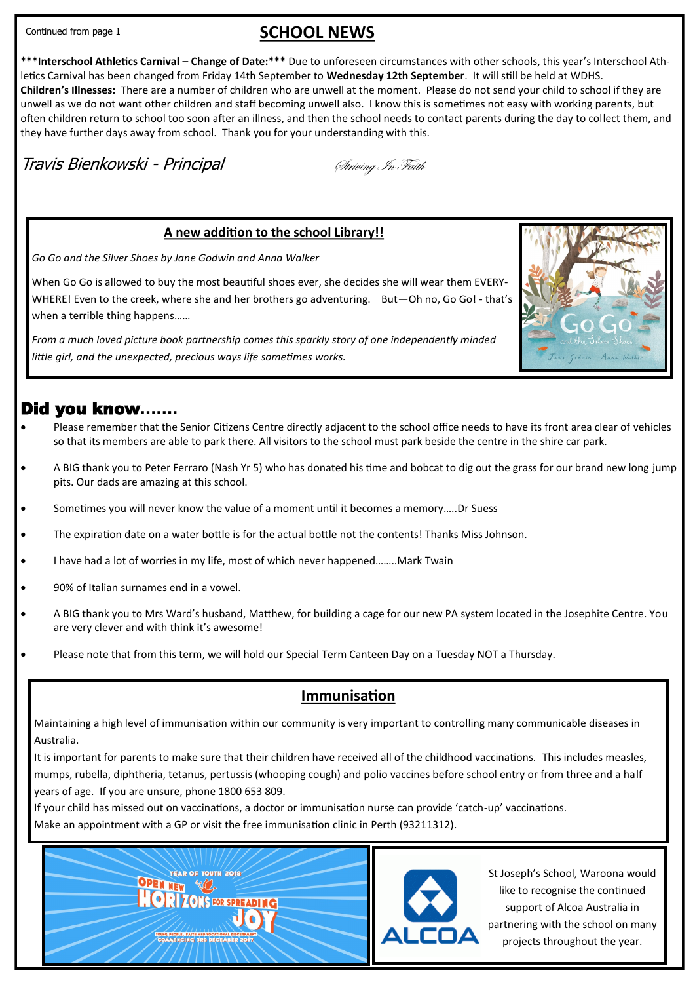Continued from page 1

## **SCHOOL NEWS**

**\*\*\*Interschool Athletics Carnival – Change of Date:\*\*\*** Due to unforeseen circumstances with other schools, this year's Interschool Athletics Carnival has been changed from Friday 14th September to **Wednesday 12th September**. It will still be held at WDHS. **Children's Illnesses:** There are a number of children who are unwell at the moment. Please do not send your child to school if they are unwell as we do not want other children and staff becoming unwell also. I know this is sometimes not easy with working parents, but often children return to school too soon after an illness, and then the school needs to contact parents during the day to collect them, and they have further days away from school. Thank you for your understanding with this.

# Travis Bienkowski - Principal Striving *In Faith*

### **A new addition to the school Library!!**

*Go Go and the Silver Shoes by Jane Godwin and Anna Walker*

When Go Go is allowed to buy the most beautiful shoes ever, she decides she will wear them EVERY-WHERE! Even to the creek, where she and her brothers go adventuring. But-Oh no, Go Go! - that's when a terrible thing happens……

*From a much loved picture book partnership comes this sparkly story of one independently minded little girl, and the unexpected, precious ways life sometimes works.*

### Did you know**…….**

- Please remember that the Senior Citizens Centre directly adjacent to the school office needs to have its front area clear of vehicles so that its members are able to park there. All visitors to the school must park beside the centre in the shire car park.
- A BIG thank you to Peter Ferraro (Nash Yr 5) who has donated his time and bobcat to dig out the grass for our brand new long jump pits. Our dads are amazing at this school.
- Sometimes you will never know the value of a moment until it becomes a memory…..Dr Suess
- The expiration date on a water bottle is for the actual bottle not the contents! Thanks Miss Johnson.
- I have had a lot of worries in my life, most of which never happened……..Mark Twain
- 90% of Italian surnames end in a vowel.
- A BIG thank you to Mrs Ward's husband, Matthew, for building a cage for our new PA system located in the Josephite Centre. You are very clever and with think it's awesome!
- Please note that from this term, we will hold our Special Term Canteen Day on a Tuesday NOT a Thursday.

### **Immunisation**

Maintaining a high level of immunisation within our community is very important to controlling many communicable diseases in Australia.

It is important for parents to make sure that their children have received all of the childhood vaccinations. This includes measles, mumps, rubella, diphtheria, tetanus, pertussis (whooping cough) and polio vaccines before school entry or from three and a half years of age. If you are unsure, phone 1800 653 809.

If your child has missed out on vaccinations, a doctor or immunisation nurse can provide 'catch-up' vaccinations.

Make an appointment with a GP or visit the free immunisation clinic in Perth (93211312).

**OPEN NEW WWW** 



St Joseph's School, Waroona would like to recognise the continued support of Alcoa Australia in partnering with the school on many projects throughout the year.

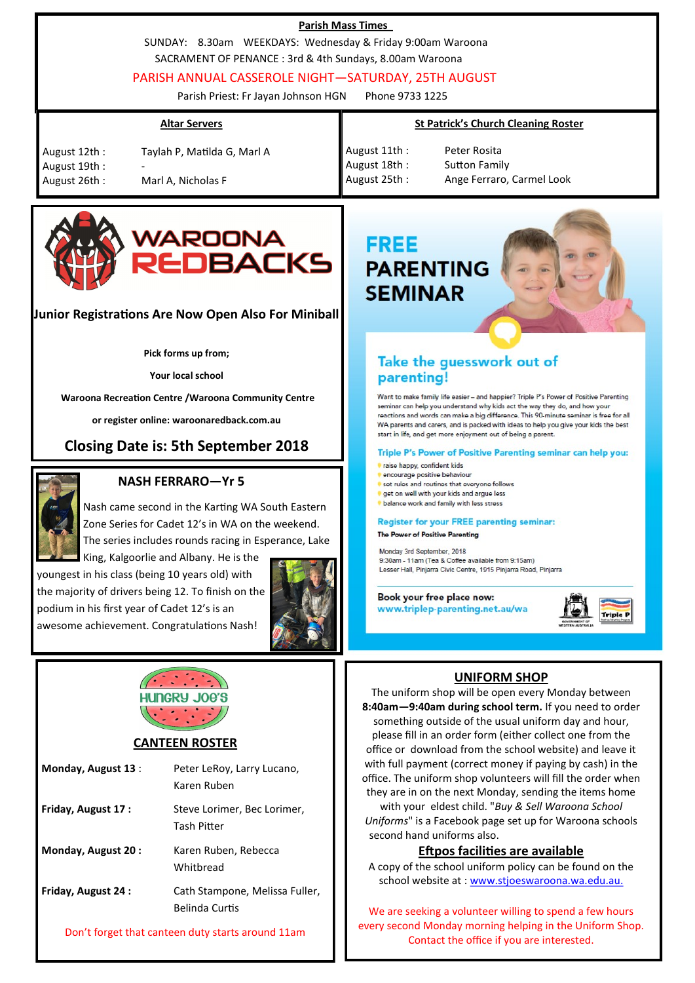| <b>Parish Mass Times</b><br>SUNDAY: 8.30am WEEKDAYS: Wednesday & Friday 9:00am Waroona<br>SACRAMENT OF PENANCE : 3rd & 4th Sundays, 8.00am Waroona<br>PARISH ANNUAL CASSEROLE NIGHT-SATURDAY, 25TH AUGUST<br>Phone 9733 1225<br>Parish Priest: Fr Jayan Johnson HGN |                                                                                                                                                                                                                                                                                                                                                                                                                                                                                                   |  |
|---------------------------------------------------------------------------------------------------------------------------------------------------------------------------------------------------------------------------------------------------------------------|---------------------------------------------------------------------------------------------------------------------------------------------------------------------------------------------------------------------------------------------------------------------------------------------------------------------------------------------------------------------------------------------------------------------------------------------------------------------------------------------------|--|
| <b>Altar Servers</b><br>August 12th:<br>Taylah P, Matilda G, Marl A<br>August 19th:<br>August 26th:<br>Marl A, Nicholas F                                                                                                                                           | <b>St Patrick's Church Cleaning Roster</b><br>August 11th:<br>Peter Rosita<br>August 18th:<br><b>Sutton Family</b><br>August 25th:<br>Ange Ferraro, Carmel Look                                                                                                                                                                                                                                                                                                                                   |  |
| WAROONA<br>REDBACKS<br>Junior Registrations Are Now Open Also For Miniball<br>Pick forms up from;                                                                                                                                                                   | <b>FREE</b><br><b>PARENTING</b><br><b>SEMINAR</b><br>Take the guesswork out of                                                                                                                                                                                                                                                                                                                                                                                                                    |  |
| Your local school<br>Waroona Recreation Centre / Waroona Community Centre<br>or register online: waroonaredback.com.au<br><b>Closing Date is: 5th September 2018</b>                                                                                                | parenting!<br>Want to make family life easier - and happier? Triple P's Power of Positive Parenting<br>seminar can help you understand why kids act the way they do, and how your<br>reactions and words can make a big difference. This 90-minute seminar is free for all<br>WA parents and carers, and is packed with ideas to help you give your kids the best<br>start in life, and get more enjoyment out of being a parent.<br>Triple P's Power of Positive Parenting seminar can help you: |  |
| <b>NASH FERRARO-Yr 5</b><br>Nash came second in the Karting WA South Eastern<br>Zone Series for Cadet 12's in WA on the weekend.<br>The series includes rounds racing in Esperance, Lake<br>King, Kalgoorlie and Albany. He is the                                  | raise happy, confident kids<br>encourage positive behaviour<br>set rules and routines that everyone follows<br>get on well with your kids and argue less<br>balance work and family with less stress<br><b>Register for your FREE parenting seminar:</b><br>The Power of Positive Parenting<br>Monday 3rd September, 2018<br>9:30am - 11am (Tea & Coffee available from 9:15am)                                                                                                                   |  |

youngest in his class (being 10 years old) with the majority of drivers being 12. To finish on the podium in his first year of Cadet 12's is an awesome achievement. Congratulations Nash!





### **CANTEEN ROSTER**

| Monday, August 13:        | Peter LeRoy, Larry Lucano,<br>Karen Ruben               |
|---------------------------|---------------------------------------------------------|
| <b>Friday, August 17:</b> | Steve Lorimer, Bec Lorimer,<br>Tash Pitter              |
| <b>Monday, August 20:</b> | Karen Ruben, Rebecca<br>Whithread                       |
| <b>Friday, August 24:</b> | Cath Stampone, Melissa Fuller,<br><b>Belinda Curtis</b> |

Don't forget that canteen duty starts around 11am

### **UNIFORM SHOP**

**Triple I** 

Lesser Hall, Pinjarra Civic Centre, 1915 Pinjarra Road, Pinjarra

Book your free place now: www.triplep-parenting.net.au/wa

The uniform shop will be open every Monday between **8:40am—9:40am during school term.** If you need to order something outside of the usual uniform day and hour, please fill in an order form (either collect one from the office or download from the school website) and leave it with full payment (correct money if paying by cash) in the office. The uniform shop volunteers will fill the order when they are in on the next Monday, sending the items home with your eldest child. "*Buy & Sell Waroona School Uniforms*" is a Facebook page set up for Waroona schools second hand uniforms also.

### **Eftpos facilities are available**

A copy of the school uniform policy can be found on the school website at : [www.stjoeswaroona.wa.edu.au.](http://www.stjoeswaroona.wa.edu.au/app/webroot/js/tiny_mce/plugins/filemanager/files/Uniform_and_Grooming_Policy_2016.pdf)

We are seeking a volunteer willing to spend a few hours every second Monday morning helping in the Uniform Shop. Contact the office if you are interested.